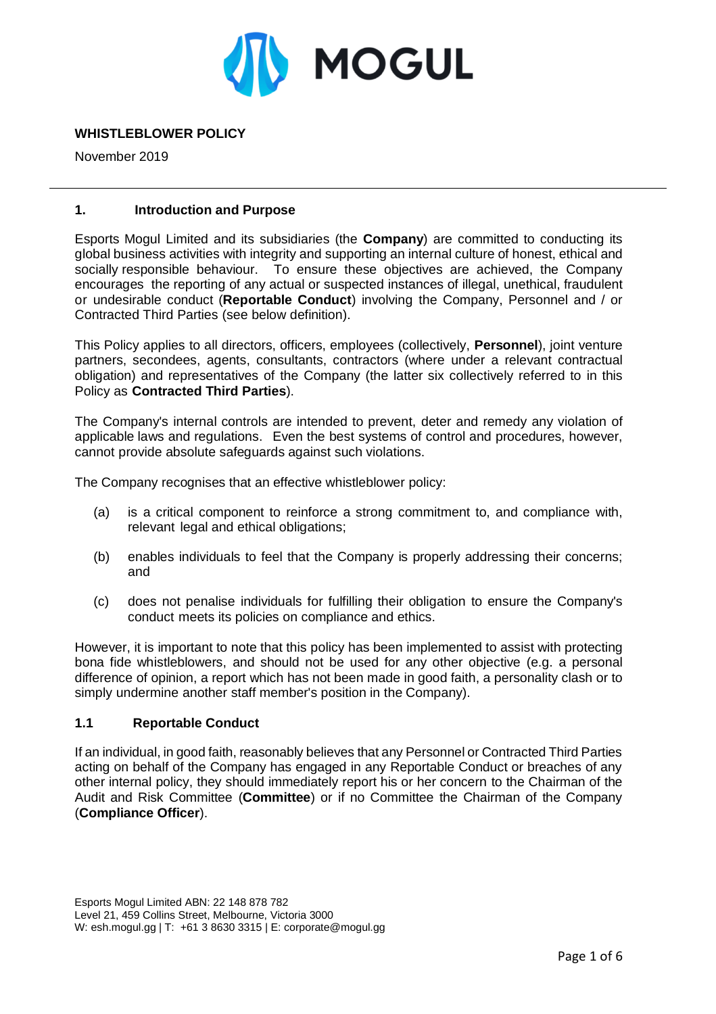

# **WHISTLEBLOWER POLICY**

November 2019

### **1. Introduction and Purpose**

Esports Mogul Limited and its subsidiaries (the **Company**) are committed to conducting its global business activities with integrity and supporting an internal culture of honest, ethical and socially responsible behaviour. To ensure these objectives are achieved, the Company encourages the reporting of any actual or suspected instances of illegal, unethical, fraudulent or undesirable conduct (**Reportable Conduct**) involving the Company, Personnel and / or Contracted Third Parties (see below definition).

This Policy applies to all directors, officers, employees (collectively, **Personnel**), joint venture partners, secondees, agents, consultants, contractors (where under a relevant contractual obligation) and representatives of the Company (the latter six collectively referred to in this Policy as **Contracted Third Parties**).

The Company's internal controls are intended to prevent, deter and remedy any violation of applicable laws and regulations. Even the best systems of control and procedures, however, cannot provide absolute safeguards against such violations.

The Company recognises that an effective whistleblower policy:

- (a) is a critical component to reinforce a strong commitment to, and compliance with, relevant legal and ethical obligations;
- (b) enables individuals to feel that the Company is properly addressing their concerns; and
- (c) does not penalise individuals for fulfilling their obligation to ensure the Company's conduct meets its policies on compliance and ethics.

However, it is important to note that this policy has been implemented to assist with protecting bona fide whistleblowers, and should not be used for any other objective (e.g. a personal difference of opinion, a report which has not been made in good faith, a personality clash or to simply undermine another staff member's position in the Company).

#### **1.1 Reportable Conduct**

If an individual, in good faith, reasonably believes that any Personnel or Contracted Third Parties acting on behalf of the Company has engaged in any Reportable Conduct or breaches of any other internal policy, they should immediately report his or her concern to the Chairman of the Audit and Risk Committee (**Committee**) or if no Committee the Chairman of the Company (**Compliance Officer**).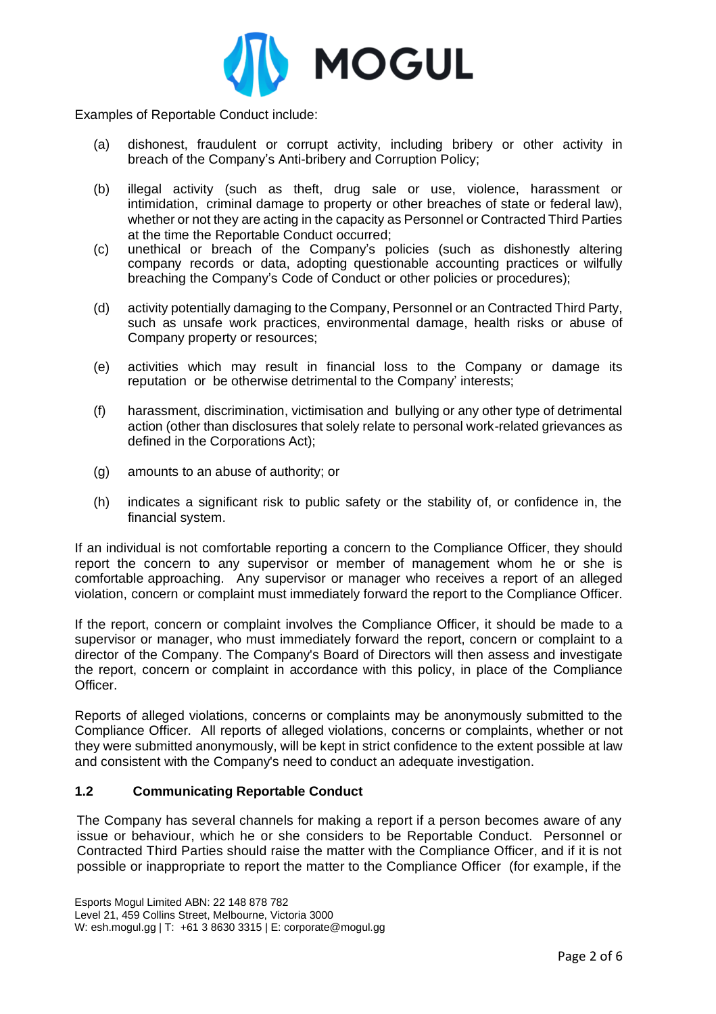

Examples of Reportable Conduct include:

- (a) dishonest, fraudulent or corrupt activity, including bribery or other activity in breach of the Company's Anti-bribery and Corruption Policy;
- (b) illegal activity (such as theft, drug sale or use, violence, harassment or intimidation, criminal damage to property or other breaches of state or federal law), whether or not they are acting in the capacity as Personnel or Contracted Third Parties at the time the Reportable Conduct occurred;
- (c) unethical or breach of the Company's policies (such as dishonestly altering company records or data, adopting questionable accounting practices or wilfully breaching the Company's Code of Conduct or other policies or procedures);
- (d) activity potentially damaging to the Company, Personnel or an Contracted Third Party, such as unsafe work practices, environmental damage, health risks or abuse of Company property or resources;
- (e) activities which may result in financial loss to the Company or damage its reputation or be otherwise detrimental to the Company' interests;
- (f) harassment, discrimination, victimisation and bullying or any other type of detrimental action (other than disclosures that solely relate to personal work-related grievances as defined in the Corporations Act);
- (g) amounts to an abuse of authority; or
- (h) indicates a significant risk to public safety or the stability of, or confidence in, the financial system.

If an individual is not comfortable reporting a concern to the Compliance Officer, they should report the concern to any supervisor or member of management whom he or she is comfortable approaching. Any supervisor or manager who receives a report of an alleged violation, concern or complaint must immediately forward the report to the Compliance Officer.

If the report, concern or complaint involves the Compliance Officer, it should be made to a supervisor or manager, who must immediately forward the report, concern or complaint to a director of the Company. The Company's Board of Directors will then assess and investigate the report, concern or complaint in accordance with this policy, in place of the Compliance Officer.

Reports of alleged violations, concerns or complaints may be anonymously submitted to the Compliance Officer. All reports of alleged violations, concerns or complaints, whether or not they were submitted anonymously, will be kept in strict confidence to the extent possible at law and consistent with the Company's need to conduct an adequate investigation.

## **1.2 Communicating Reportable Conduct**

The Company has several channels for making a report if a person becomes aware of any issue or behaviour, which he or she considers to be Reportable Conduct. Personnel or Contracted Third Parties should raise the matter with the Compliance Officer, and if it is not possible or inappropriate to report the matter to the Compliance Officer (for example, if the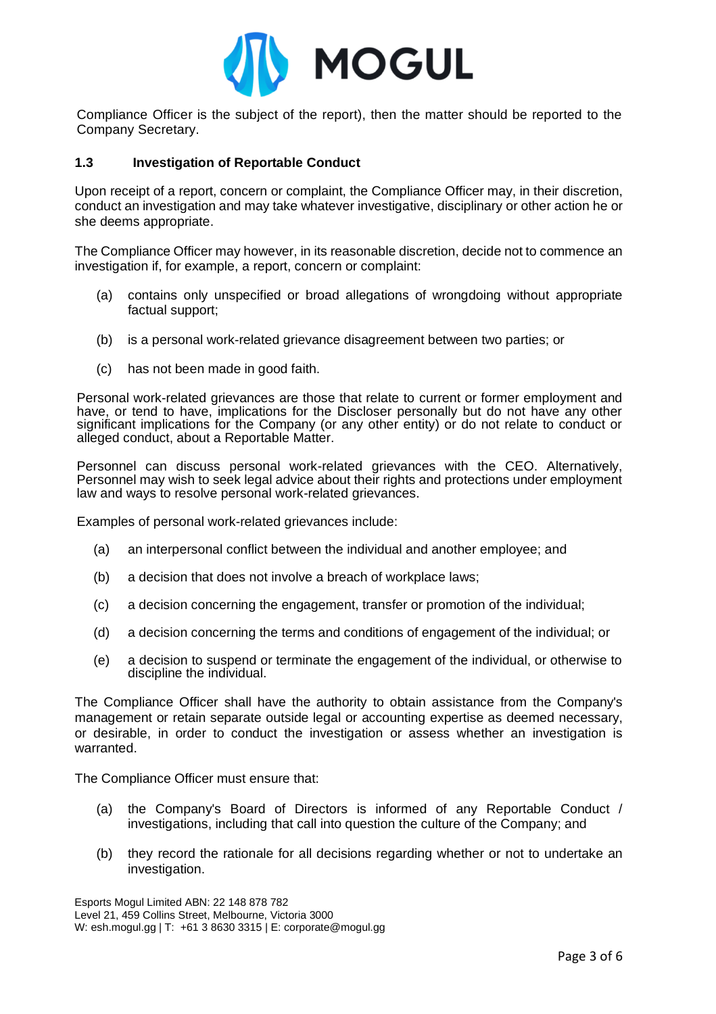

Compliance Officer is the subject of the report), then the matter should be reported to the Company Secretary.

### **1.3 Investigation of Reportable Conduct**

Upon receipt of a report, concern or complaint, the Compliance Officer may, in their discretion, conduct an investigation and may take whatever investigative, disciplinary or other action he or she deems appropriate.

The Compliance Officer may however, in its reasonable discretion, decide not to commence an investigation if, for example, a report, concern or complaint:

- (a) contains only unspecified or broad allegations of wrongdoing without appropriate factual support;
- (b) is a personal work-related grievance disagreement between two parties; or
- (c) has not been made in good faith.

Personal work-related grievances are those that relate to current or former employment and have, or tend to have, implications for the Discloser personally but do not have any other significant implications for the Company (or any other entity) or do not relate to conduct or alleged conduct, about a Reportable Matter.

Personnel can discuss personal work-related grievances with the CEO. Alternatively, Personnel may wish to seek legal advice about their rights and protections under employment law and ways to resolve personal work-related grievances.

Examples of personal work-related grievances include:

- (a) an interpersonal conflict between the individual and another employee; and
- (b) a decision that does not involve a breach of workplace laws;
- (c) a decision concerning the engagement, transfer or promotion of the individual;
- (d) a decision concerning the terms and conditions of engagement of the individual; or
- (e) a decision to suspend or terminate the engagement of the individual, or otherwise to discipline the individual.

The Compliance Officer shall have the authority to obtain assistance from the Company's management or retain separate outside legal or accounting expertise as deemed necessary, or desirable, in order to conduct the investigation or assess whether an investigation is warranted.

The Compliance Officer must ensure that:

- (a) the Company's Board of Directors is informed of any Reportable Conduct / investigations, including that call into question the culture of the Company; and
- (b) they record the rationale for all decisions regarding whether or not to undertake an investigation.

Esports Mogul Limited ABN: 22 148 878 782 Level 21, 459 Collins Street, Melbourne, Victoria 3000 W: esh.mogul.gg | T: +61 3 8630 3315 | E: corporate@mogul.gg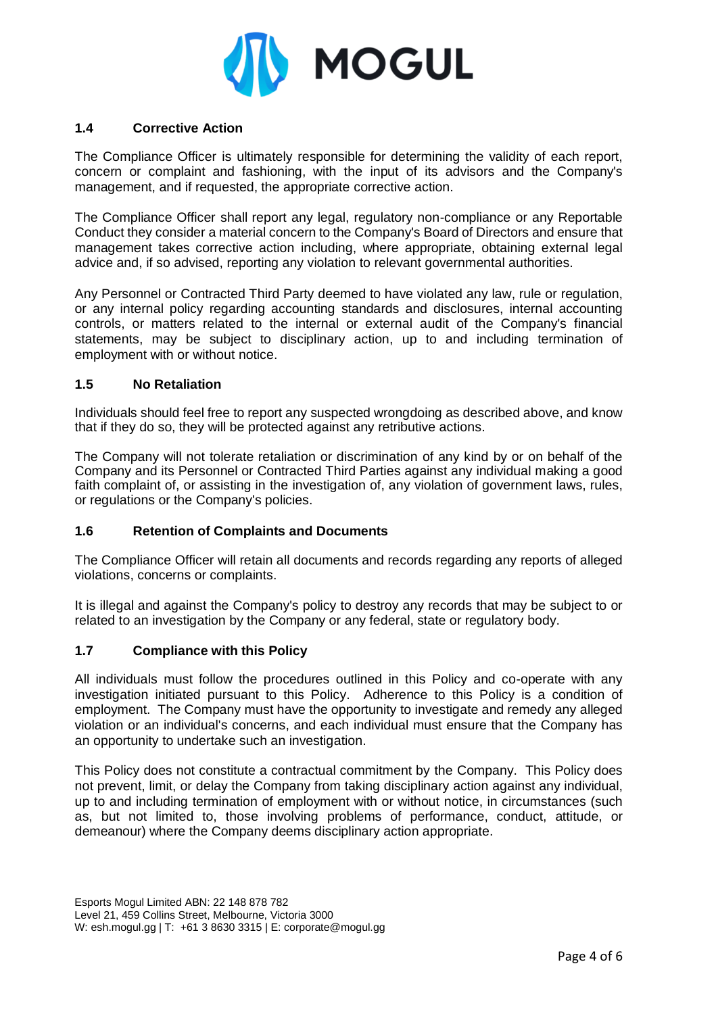

# **1.4 Corrective Action**

The Compliance Officer is ultimately responsible for determining the validity of each report, concern or complaint and fashioning, with the input of its advisors and the Company's management, and if requested, the appropriate corrective action.

The Compliance Officer shall report any legal, regulatory non-compliance or any Reportable Conduct they consider a material concern to the Company's Board of Directors and ensure that management takes corrective action including, where appropriate, obtaining external legal advice and, if so advised, reporting any violation to relevant governmental authorities.

Any Personnel or Contracted Third Party deemed to have violated any law, rule or regulation, or any internal policy regarding accounting standards and disclosures, internal accounting controls, or matters related to the internal or external audit of the Company's financial statements, may be subject to disciplinary action, up to and including termination of employment with or without notice.

### **1.5 No Retaliation**

Individuals should feel free to report any suspected wrongdoing as described above, and know that if they do so, they will be protected against any retributive actions.

The Company will not tolerate retaliation or discrimination of any kind by or on behalf of the Company and its Personnel or Contracted Third Parties against any individual making a good faith complaint of, or assisting in the investigation of, any violation of government laws, rules, or regulations or the Company's policies.

## **1.6 Retention of Complaints and Documents**

The Compliance Officer will retain all documents and records regarding any reports of alleged violations, concerns or complaints.

It is illegal and against the Company's policy to destroy any records that may be subject to or related to an investigation by the Company or any federal, state or regulatory body.

## **1.7 Compliance with this Policy**

All individuals must follow the procedures outlined in this Policy and co-operate with any investigation initiated pursuant to this Policy. Adherence to this Policy is a condition of employment. The Company must have the opportunity to investigate and remedy any alleged violation or an individual's concerns, and each individual must ensure that the Company has an opportunity to undertake such an investigation.

This Policy does not constitute a contractual commitment by the Company. This Policy does not prevent, limit, or delay the Company from taking disciplinary action against any individual, up to and including termination of employment with or without notice, in circumstances (such as, but not limited to, those involving problems of performance, conduct, attitude, or demeanour) where the Company deems disciplinary action appropriate.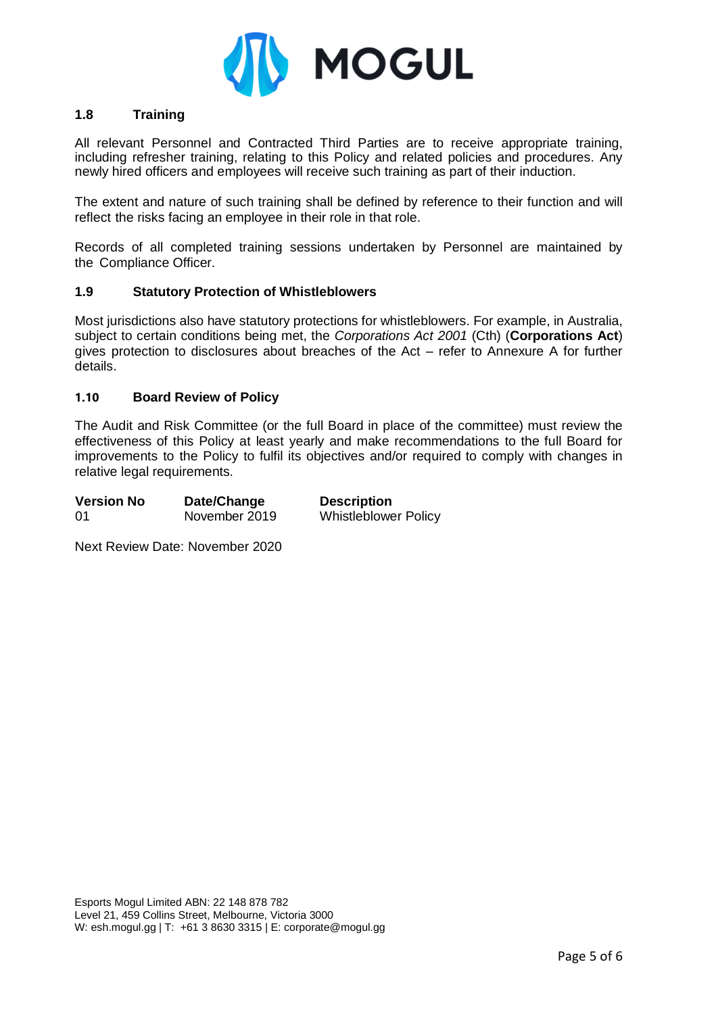

## **1.8 Training**

All relevant Personnel and Contracted Third Parties are to receive appropriate training, including refresher training, relating to this Policy and related policies and procedures. Any newly hired officers and employees will receive such training as part of their induction.

The extent and nature of such training shall be defined by reference to their function and will reflect the risks facing an employee in their role in that role.

Records of all completed training sessions undertaken by Personnel are maintained by the Compliance Officer.

### **1.9 Statutory Protection of Whistleblowers**

Most jurisdictions also have statutory protections for whistleblowers. For example, in Australia, subject to certain conditions being met, the *Corporations Act 2001* (Cth) (**Corporations Act**) gives protection to disclosures about breaches of the Act – refer to Annexure A for further details.

### **1.10 Board Review of Policy**

The Audit and Risk Committee (or the full Board in place of the committee) must review the effectiveness of this Policy at least yearly and make recommendations to the full Board for improvements to the Policy to fulfil its objectives and/or required to comply with changes in relative legal requirements.

| <b>Version No</b> | Date/Change   | <b>Description</b>          |
|-------------------|---------------|-----------------------------|
| 01                | November 2019 | <b>Whistleblower Policy</b> |

Next Review Date: November 2020